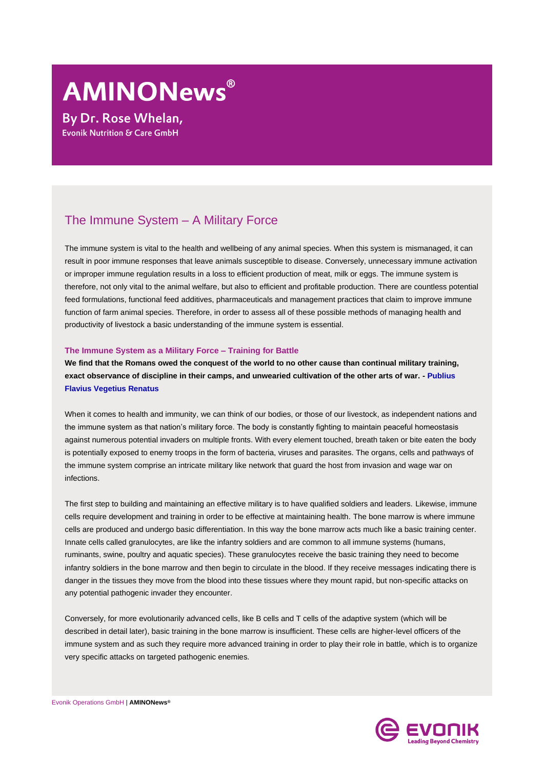# **AMINONews**®

**By Dr. Rose Whelan,** Evonik Nutrition & Care GmbH

# The Immune System – A Military Force

The immune system is vital to the health and wellbeing of any animal species. When this system is mismanaged, it can result in poor immune responses that leave animals susceptible to disease. Conversely, unnecessary immune activation or improper immune regulation results in a loss to efficient production of meat, milk or eggs. The immune system is therefore, not only vital to the animal welfare, but also to efficient and profitable production. There are countless potential feed formulations, functional feed additives, pharmaceuticals and management practices that claim to improve immune function of farm animal species. Therefore, in order to assess all of these possible methods of managing health and productivity of livestock a basic understanding of the immune system is essential.

#### **The Immune System as a Military Force – Training for Battle**

**We find that the Romans owed the conquest of the world to no other cause than continual military training, exact observance of discipline in their camps, and unwearied cultivation of the other arts of war. - Publius Flavius Vegetius Renatus**

When it comes to health and immunity, we can think of our bodies, or those of our livestock, as independent nations and the immune system as that nation's military force. The body is constantly fighting to maintain peaceful homeostasis against numerous potential invaders on multiple fronts. With every element touched, breath taken or bite eaten the body is potentially exposed to enemy troops in the form of bacteria, viruses and parasites. The organs, cells and pathways of the immune system comprise an intricate military like network that guard the host from invasion and wage war on infections.

The first step to building and maintaining an effective military is to have qualified soldiers and leaders. Likewise, immune cells require development and training in order to be effective at maintaining health. The bone marrow is where immune cells are produced and undergo basic differentiation. In this way the bone marrow acts much like a basic training center. Innate cells called granulocytes, are like the infantry soldiers and are common to all immune systems (humans, ruminants, swine, poultry and aquatic species). These granulocytes receive the basic training they need to become infantry soldiers in the bone marrow and then begin to circulate in the blood. If they receive messages indicating there is danger in the tissues they move from the blood into these tissues where they mount rapid, but non-specific attacks on any potential pathogenic invader they encounter.

Conversely, for more evolutionarily advanced cells, like B cells and T cells of the adaptive system (which will be described in detail later), basic training in the bone marrow is insufficient. These cells are higher-level officers of the immune system and as such they require more advanced training in order to play their role in battle, which is to organize very specific attacks on targeted pathogenic enemies.

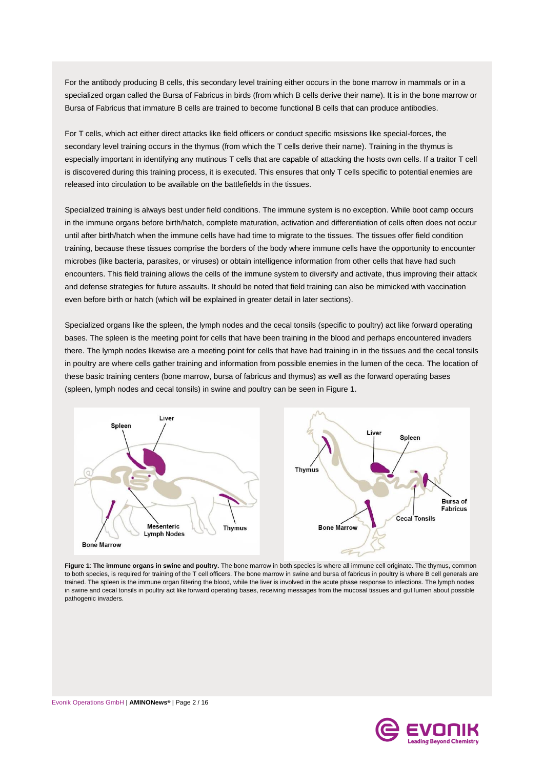For the antibody producing B cells, this secondary level training either occurs in the bone marrow in mammals or in a specialized organ called the Bursa of Fabricus in birds (from which B cells derive their name). It is in the bone marrow or Bursa of Fabricus that immature B cells are trained to become functional B cells that can produce antibodies.

For T cells, which act either direct attacks like field officers or conduct specific msissions like special-forces, the secondary level training occurs in the thymus (from which the T cells derive their name). Training in the thymus is especially important in identifying any mutinous T cells that are capable of attacking the hosts own cells. If a traitor T cell is discovered during this training process, it is executed. This ensures that only T cells specific to potential enemies are released into circulation to be available on the battlefields in the tissues.

Specialized training is always best under field conditions. The immune system is no exception. While boot camp occurs in the immune organs before birth/hatch, complete maturation, activation and differentiation of cells often does not occur until after birth/hatch when the immune cells have had time to migrate to the tissues. The tissues offer field condition training, because these tissues comprise the borders of the body where immune cells have the opportunity to encounter microbes (like bacteria, parasites, or viruses) or obtain intelligence information from other cells that have had such encounters. This field training allows the cells of the immune system to diversify and activate, thus improving their attack and defense strategies for future assaults. It should be noted that field training can also be mimicked with vaccination even before birth or hatch (which will be explained in greater detail in later sections).

Specialized organs like the spleen, the lymph nodes and the cecal tonsils (specific to poultry) act like forward operating bases. The spleen is the meeting point for cells that have been training in the blood and perhaps encountered invaders there. The lymph nodes likewise are a meeting point for cells that have had training in in the tissues and the cecal tonsils in poultry are where cells gather training and information from possible enemies in the lumen of the ceca. The location of these basic training centers (bone marrow, bursa of fabricus and thymus) as well as the forward operating bases (spleen, lymph nodes and cecal tonsils) in swine and poultry can be seen in Figure 1.



**Figure 1**: **The immune organs in swine and poultry.** The bone marrow in both species is where all immune cell originate. The thymus, common to both species, is required for training of the T cell officers. The bone marrow in swine and bursa of fabricus in poultry is where B cell generals are trained. The spleen is the immune organ filtering the blood, while the liver is involved in the acute phase response to infections. The lymph nodes in swine and cecal tonsils in poultry act like forward operating bases, receiving messages from the mucosal tissues and gut lumen about possible pathogenic invaders.

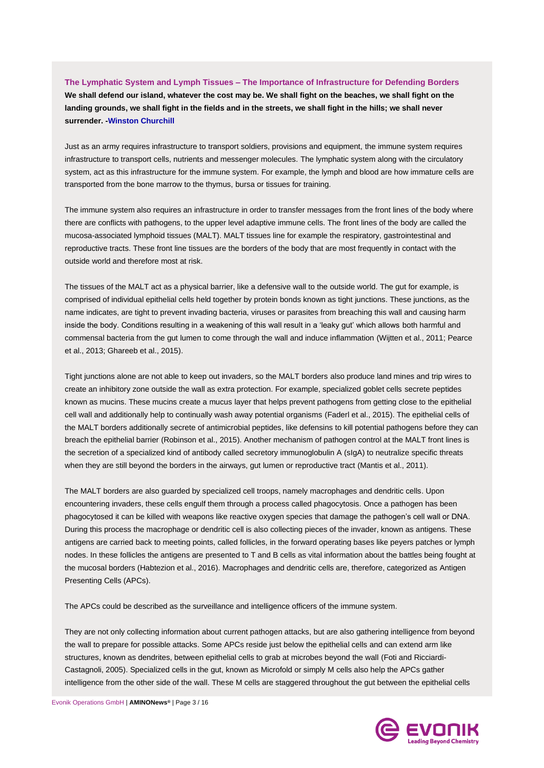# **The Lymphatic System and Lymph Tissues – The Importance of Infrastructure for Defending Borders [We shall defend our island, whatever the cost may be. We shall fight on the beaches, we shall fight on the](http://www.brainyquote.com/quotes/quotes/w/winstonchu161337.html?src=t_war)  [landing grounds, we shall fight in the fields and in the streets, we shall fight in the hills; we shall never](http://www.brainyquote.com/quotes/quotes/w/winstonchu161337.html?src=t_war)  [surrender.](http://www.brainyquote.com/quotes/quotes/w/winstonchu161337.html?src=t_war) [-Winston Churchill](http://www.brainyquote.com/quotes/authors/w/winston_churchill.html)**

Just as an army requires infrastructure to transport soldiers, provisions and equipment, the immune system requires infrastructure to transport cells, nutrients and messenger molecules. The lymphatic system along with the circulatory system, act as this infrastructure for the immune system. For example, the lymph and blood are how immature cells are transported from the bone marrow to the thymus, bursa or tissues for training.

The immune system also requires an infrastructure in order to transfer messages from the front lines of the body where there are conflicts with pathogens, to the upper level adaptive immune cells. The front lines of the body are called the mucosa-associated lymphoid tissues (MALT). MALT tissues line for example the respiratory, gastrointestinal and reproductive tracts. These front line tissues are the borders of the body that are most frequently in contact with the outside world and therefore most at risk.

The tissues of the MALT act as a physical barrier, like a defensive wall to the outside world. The gut for example, is comprised of individual epithelial cells held together by protein bonds known as tight junctions. These junctions, as the name indicates, are tight to prevent invading bacteria, viruses or parasites from breaching this wall and causing harm inside the body. Conditions resulting in a weakening of this wall result in a 'leaky gut' which allows both harmful and commensal bacteria from the gut lumen to come through the wall and induce inflammation [\(Wijtten et al., 2011;](#page-15-0) [Pearce](#page-14-0)  [et al., 2013;](#page-14-0) [Ghareeb et al., 2015\)](#page-13-0).

Tight junctions alone are not able to keep out invaders, so the MALT borders also produce land mines and trip wires to create an inhibitory zone outside the wall as extra protection. For example, specialized goblet cells secrete peptides known as mucins. These mucins create a mucus layer that helps prevent pathogens from getting close to the epithelial cell wall and additionally help to continually wash away potential organisms [\(Faderl et al., 2015\)](#page-12-0). The epithelial cells of the MALT borders additionally secrete of antimicrobial peptides, like defensins to kill potential pathogens before they can breach the epithelial barrier [\(Robinson et al., 2015\)](#page-14-1). Another mechanism of pathogen control at the MALT front lines is the secretion of a specialized kind of antibody called secretory immunoglobulin A (sIgA) to neutralize specific threats when they are still beyond the borders in the airways, gut lumen or reproductive tract [\(Mantis et al., 2011\)](#page-13-1).

The MALT borders are also guarded by specialized cell troops, namely macrophages and dendritic cells. Upon encountering invaders, these cells engulf them through a process called phagocytosis. Once a pathogen has been phagocytosed it can be killed with weapons like reactive oxygen species that damage the pathogen's cell wall or DNA. During this process the macrophage or dendritic cell is also collecting pieces of the invader, known as antigens. These antigens are carried back to meeting points, called follicles, in the forward operating bases like peyers patches or lymph nodes. In these follicles the antigens are presented to T and B cells as vital information about the battles being fought at the mucosal borders [\(Habtezion et al., 2016\)](#page-13-2). Macrophages and dendritic cells are, therefore, categorized as Antigen Presenting Cells (APCs).

The APCs could be described as the surveillance and intelligence officers of the immune system.

They are not only collecting information about current pathogen attacks, but are also gathering intelligence from beyond the wall to prepare for possible attacks. Some APCs reside just below the epithelial cells and can extend arm like structures, known as dendrites, between epithelial cells to grab at microbes beyond the wall [\(Foti and Ricciardi-](#page-13-3)[Castagnoli, 2005\)](#page-13-3). Specialized cells in the gut, known as Microfold or simply M cells also help the APCs gather intelligence from the other side of the wall. These M cells are staggered throughout the gut between the epithelial cells

Evonik Operations GmbH | **AMINONews®** | Page 3 / 16

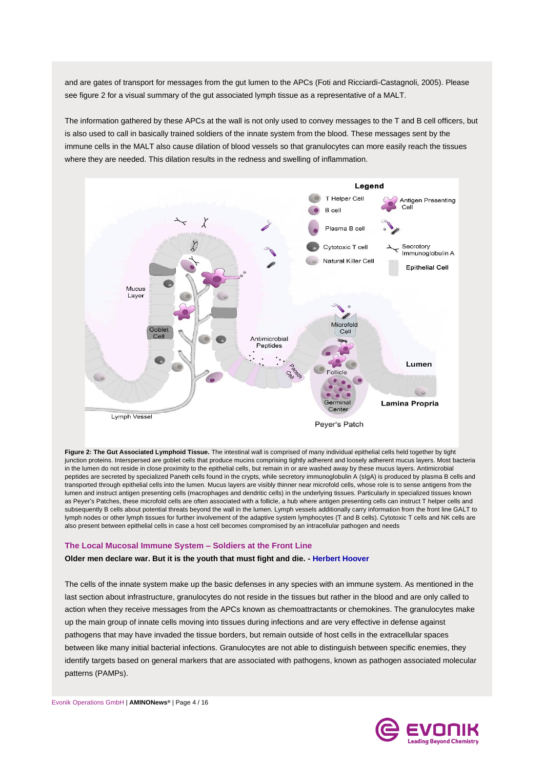and are gates of transport for messages from the gut lumen to the APCs [\(Foti and Ricciardi-Castagnoli, 2005\)](#page-13-3). Please see figure 2 for a visual summary of the gut associated lymph tissue as a representative of a MALT.

The information gathered by these APCs at the wall is not only used to convey messages to the T and B cell officers, but is also used to call in basically trained soldiers of the innate system from the blood. These messages sent by the immune cells in the MALT also cause dilation of blood vessels so that granulocytes can more easily reach the tissues where they are needed. This dilation results in the redness and swelling of inflammation.



**Figure 2: The Gut Associated Lymphoid Tissue.** The intestinal wall is comprised of many individual epithelial cells held together by tight junction proteins. Interspersed are goblet cells that produce mucins comprising tightly adherent and loosely adherent mucus layers. Most bacteria in the lumen do not reside in close proximity to the epithelial cells, but remain in or are washed away by these mucus layers. Antimicrobial peptides are secreted by specialized Paneth cells found in the crypts, while secretory immunoglobulin A (sIgA) is produced by plasma B cells and transported through epithelial cells into the lumen. Mucus layers are visibly thinner near microfold cells, whose role is to sense antigens from the lumen and instruct antigen presenting cells (macrophages and dendritic cells) in the underlying tissues. Particularly in specialized tissues known as Peyer's Patches, these microfold cells are often associated with a follicle, a hub where antigen presenting cells can instruct T helper cells and subsequently B cells about potential threats beyond the wall in the lumen. Lymph vessels additionally carry information from the front line GALT to lymph nodes or other lymph tissues for further involvement of the adaptive system lymphocytes (T and B cells). Cytotoxic T cells and NK cells are also present between epithelial cells in case a host cell becomes compromised by an intracellular pathogen and needs

#### **The Local Mucosal Immune System – Soldiers at the Front Line**

#### **[Older men declare war. But it is the youth that must fight and die.](http://www.brainyquote.com/quotes/quotes/h/herberthoo108439.html?src=t_war) - [Herbert Hoover](http://www.brainyquote.com/quotes/authors/h/herbert_hoover.html)**

The cells of the innate system make up the basic defenses in any species with an immune system. As mentioned in the last section about infrastructure, granulocytes do not reside in the tissues but rather in the blood and are only called to action when they receive messages from the APCs known as chemoattractants or chemokines. The granulocytes make up the main group of innate cells moving into tissues during infections and are very effective in defense against pathogens that may have invaded the tissue borders, but remain outside of host cells in the extracellular spaces between like many initial bacterial infections. Granulocytes are not able to distinguish between specific enemies, they identify targets based on general markers that are associated with pathogens, known as pathogen associated molecular patterns (PAMPs).

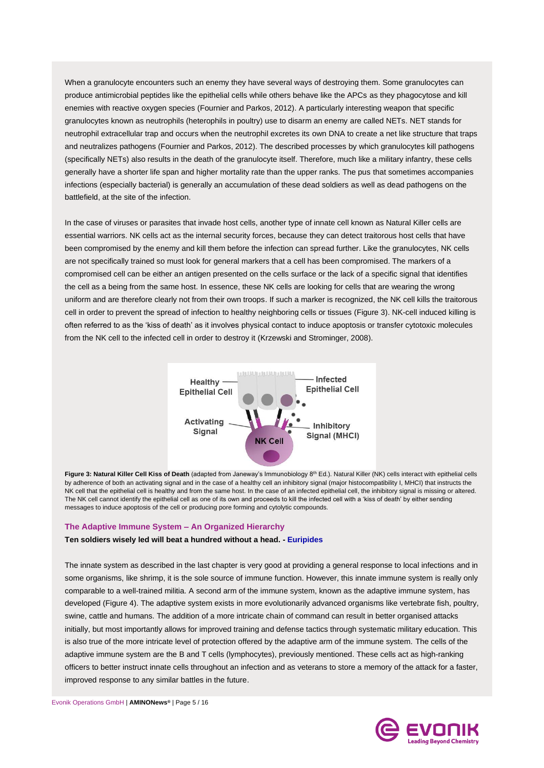When a granulocyte encounters such an enemy they have several ways of destroying them. Some granulocytes can produce antimicrobial peptides like the epithelial cells while others behave like the APCs as they phagocytose and kill enemies with reactive oxygen species [\(Fournier and Parkos, 2012\)](#page-13-4). A particularly interesting weapon that specific granulocytes known as neutrophils (heterophils in poultry) use to disarm an enemy are called NETs. NET stands for neutrophil extracellular trap and occurs when the neutrophil excretes its own DNA to create a net like structure that traps and neutralizes pathogens [\(Fournier and Parkos, 2012\)](#page-13-4). The described processes by which granulocytes kill pathogens (specifically NETs) also results in the death of the granulocyte itself. Therefore, much like a military infantry, these cells generally have a shorter life span and higher mortality rate than the upper ranks. The pus that sometimes accompanies infections (especially bacterial) is generally an accumulation of these dead soldiers as well as dead pathogens on the battlefield, at the site of the infection.

In the case of viruses or parasites that invade host cells, another type of innate cell known as Natural Killer cells are essential warriors. NK cells act as the internal security forces, because they can detect traitorous host cells that have been compromised by the enemy and kill them before the infection can spread further. Like the granulocytes, NK cells are not specifically trained so must look for general markers that a cell has been compromised. The markers of a compromised cell can be either an antigen presented on the cells surface or the lack of a specific signal that identifies the cell as a being from the same host. In essence, these NK cells are looking for cells that are wearing the wrong uniform and are therefore clearly not from their own troops. If such a marker is recognized, the NK cell kills the traitorous cell in order to prevent the spread of infection to healthy neighboring cells or tissues (Figure 3). NK-cell induced killing is often referred to as the 'kiss of death' as it involves physical contact to induce apoptosis or transfer cytotoxic molecules from the NK cell to the infected cell in order to destroy it [\(Krzewski and Strominger, 2008\)](#page-13-5).



Figure 3: Natural Killer Cell Kiss of Death (adapted from Janeway's Immunobiology 8<sup>th</sup> Ed.). Natural Killer (NK) cells interact with epithelial cells by adherence of both an activating signal and in the case of a healthy cell an inhibitory signal (major histocompatibility I, MHCI) that instructs the NK cell that the epithelial cell is healthy and from the same host. In the case of an infected epithelial cell, the inhibitory signal is missing or altered. The NK cell cannot identify the epithelial cell as one of its own and proceeds to kill the infected cell with a 'kiss of death' by either sending messages to induce apoptosis of the cell or producing pore forming and cytolytic compounds.

#### **The Adaptive Immune System – An Organized Hierarchy**

#### **Ten soldiers wisely led will beat a hundred without a head. - Euripides**

The innate system as described in the last chapter is very good at providing a general response to local infections and in some organisms, like shrimp, it is the sole source of immune function. However, this innate immune system is really only comparable to a well-trained militia. A second arm of the immune system, known as the adaptive immune system, has developed (Figure 4). The adaptive system exists in more evolutionarily advanced organisms like vertebrate fish, poultry, swine, cattle and humans. The addition of a more intricate chain of command can result in better organised attacks initially, but most importantly allows for improved training and defense tactics through systematic military education. This is also true of the more intricate level of protection offered by the adaptive arm of the immune system. The cells of the adaptive immune system are the B and T cells (lymphocytes), previously mentioned. These cells act as high-ranking officers to better instruct innate cells throughout an infection and as veterans to store a memory of the attack for a faster, improved response to any similar battles in the future.

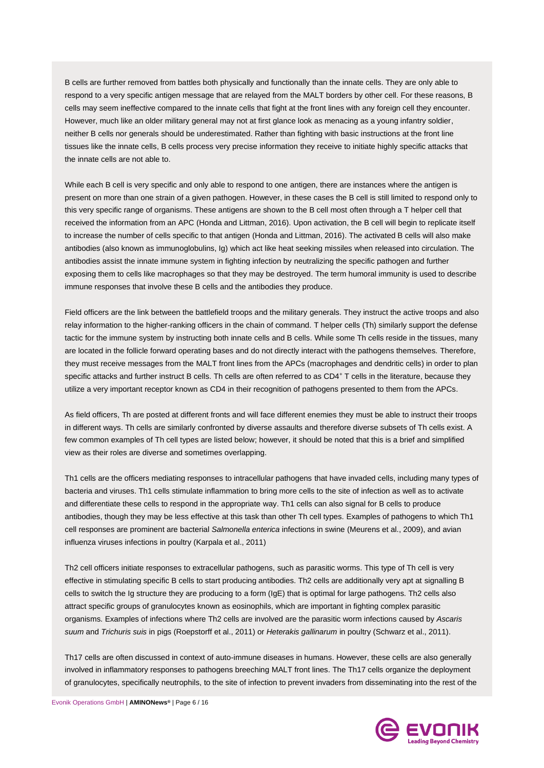B cells are further removed from battles both physically and functionally than the innate cells. They are only able to respond to a very specific antigen message that are relayed from the MALT borders by other cell. For these reasons, B cells may seem ineffective compared to the innate cells that fight at the front lines with any foreign cell they encounter. However, much like an older military general may not at first glance look as menacing as a young infantry soldier, neither B cells nor generals should be underestimated. Rather than fighting with basic instructions at the front line tissues like the innate cells, B cells process very precise information they receive to initiate highly specific attacks that the innate cells are not able to.

While each B cell is very specific and only able to respond to one antigen, there are instances where the antigen is present on more than one strain of a given pathogen. However, in these cases the B cell is still limited to respond only to this very specific range of organisms. These antigens are shown to the B cell most often through a T helper cell that received the information from an APC [\(Honda and Littman, 2016\)](#page-13-6). Upon activation, the B cell will begin to replicate itself to increase the number of cells specific to that antigen [\(Honda and Littman, 2016\)](#page-13-6). The activated B cells will also make antibodies (also known as immunoglobulins, Ig) which act like heat seeking missiles when released into circulation. The antibodies assist the innate immune system in fighting infection by neutralizing the specific pathogen and further exposing them to cells like macrophages so that they may be destroyed. The term humoral immunity is used to describe immune responses that involve these B cells and the antibodies they produce.

Field officers are the link between the battlefield troops and the military generals. They instruct the active troops and also relay information to the higher-ranking officers in the chain of command. T helper cells (Th) similarly support the defense tactic for the immune system by instructing both innate cells and B cells. While some Th cells reside in the tissues, many are located in the follicle forward operating bases and do not directly interact with the pathogens themselves. Therefore, they must receive messages from the MALT front lines from the APCs (macrophages and dendritic cells) in order to plan specific attacks and further instruct B cells. Th cells are often referred to as CD4+ T cells in the literature, because they utilize a very important receptor known as CD4 in their recognition of pathogens presented to them from the APCs.

As field officers, Th are posted at different fronts and will face different enemies they must be able to instruct their troops in different ways. Th cells are similarly confronted by diverse assaults and therefore diverse subsets of Th cells exist. A few common examples of Th cell types are listed below; however, it should be noted that this is a brief and simplified view as their roles are diverse and sometimes overlapping.

Th1 cells are the officers mediating responses to intracellular pathogens that have invaded cells, including many types of bacteria and viruses. Th1 cells stimulate inflammation to bring more cells to the site of infection as well as to activate and differentiate these cells to respond in the appropriate way. Th1 cells can also signal for B cells to produce antibodies, though they may be less effective at this task than other Th cell types. Examples of pathogens to which Th1 cell responses are prominent are bacterial *Salmonella enterica* infections in swine [\(Meurens et al., 2009\)](#page-14-2), and avian influenza viruses infections in poultry [\(Karpala et al., 2011\)](#page-13-7)

Th2 cell officers initiate responses to extracellular pathogens, such as parasitic worms. This type of Th cell is very effective in stimulating specific B cells to start producing antibodies. Th2 cells are additionally very apt at signalling B cells to switch the Ig structure they are producing to a form (IgE) that is optimal for large pathogens. Th2 cells also attract specific groups of granulocytes known as eosinophils, which are important in fighting complex parasitic organisms. Examples of infections where Th2 cells are involved are the parasitic worm infections caused by *Ascaris suum* and *Trichuris suis* in pigs [\(Roepstorff et al., 2011\)](#page-14-3) or *Heterakis gallinarum* in poultry [\(Schwarz et al., 2011\)](#page-15-1).

Th17 cells are often discussed in context of auto-immune diseases in humans. However, these cells are also generally involved in inflammatory responses to pathogens breeching MALT front lines. The Th17 cells organize the deployment of granulocytes, specifically neutrophils, to the site of infection to prevent invaders from disseminating into the rest of the

Evonik Operations GmbH | **AMINONews®** | Page 6 / 16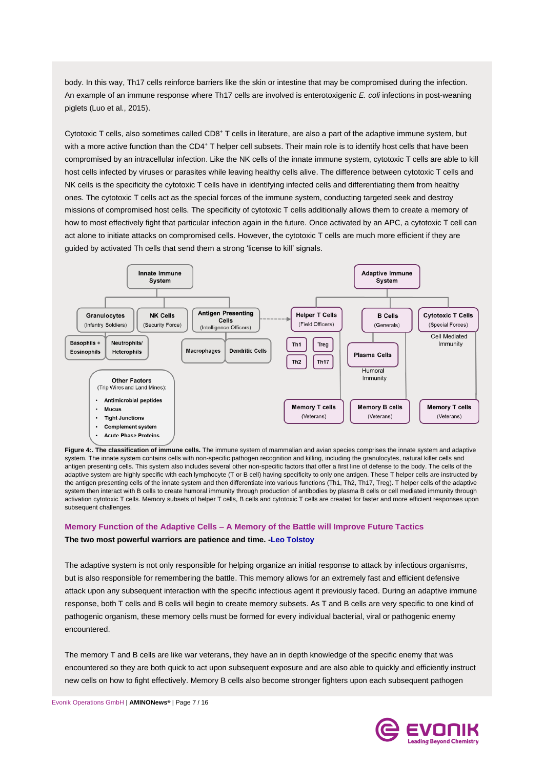body. In this way, Th17 cells reinforce barriers like the skin or intestine that may be compromised during the infection. An example of an immune response where Th17 cells are involved is enterotoxigenic *E. coli* infections in post-weaning piglets [\(Luo et al., 2015\)](#page-13-8).

Cytotoxic T cells, also sometimes called CD8<sup>+</sup> T cells in literature, are also a part of the adaptive immune system, but with a more active function than the CD4+ T helper cell subsets. Their main role is to identify host cells that have been compromised by an intracellular infection. Like the NK cells of the innate immune system, cytotoxic T cells are able to kill host cells infected by viruses or parasites while leaving healthy cells alive. The difference between cytotoxic T cells and NK cells is the specificity the cytotoxic T cells have in identifying infected cells and differentiating them from healthy ones. The cytotoxic T cells act as the special forces of the immune system, conducting targeted seek and destroy missions of compromised host cells. The specificity of cytotoxic T cells additionally allows them to create a memory of how to most effectively fight that particular infection again in the future. Once activated by an APC, a cytotoxic T cell can act alone to initiate attacks on compromised cells. However, the cytotoxic T cells are much more efficient if they are guided by activated Th cells that send them a strong 'license to kill' signals.



**Figure 4:. The classification of immune cells.** The immune system of mammalian and avian species comprises the innate system and adaptive system. The innate system contains cells with non-specific pathogen recognition and killing, including the granulocytes, natural killer cells and antigen presenting cells. This system also includes several other non-specific factors that offer a first line of defense to the body. The cells of the adaptive system are highly specific with each lymphocyte (T or B cell) having specificity to only one antigen. These T helper cells are instructed by the antigen presenting cells of the innate system and then differentiate into various functions (Th1, Th2, Th17, Treg). T helper cells of the adaptive system then interact with B cells to create humoral immunity through production of antibodies by plasma B cells or cell mediated immunity through activation cytotoxic T cells. Memory subsets of helper T cells, B cells and cytotoxic T cells are created for faster and more efficient responses upon subsequent challenges.

## **Memory Function of the Adaptive Cells – A Memory of the Battle will Improve Future Tactics [The two most powerful warriors are patience and time.](http://www.brainyquote.com/quotes/quotes/l/leotolstoy121890.html?src=t_war) [-Leo Tolstoy](http://www.brainyquote.com/quotes/authors/l/leo_tolstoy.html)**

The adaptive system is not only responsible for helping organize an initial response to attack by infectious organisms, but is also responsible for remembering the battle. This memory allows for an extremely fast and efficient defensive attack upon any subsequent interaction with the specific infectious agent it previously faced. During an adaptive immune response, both T cells and B cells will begin to create memory subsets. As T and B cells are very specific to one kind of pathogenic organism, these memory cells must be formed for every individual bacterial, viral or pathogenic enemy encountered.

The memory T and B cells are like war veterans, they have an in depth knowledge of the specific enemy that was encountered so they are both quick to act upon subsequent exposure and are also able to quickly and efficiently instruct new cells on how to fight effectively. Memory B cells also become stronger fighters upon each subsequent pathogen

Evonik Operations GmbH | **AMINONews®** | Page 7 / 16

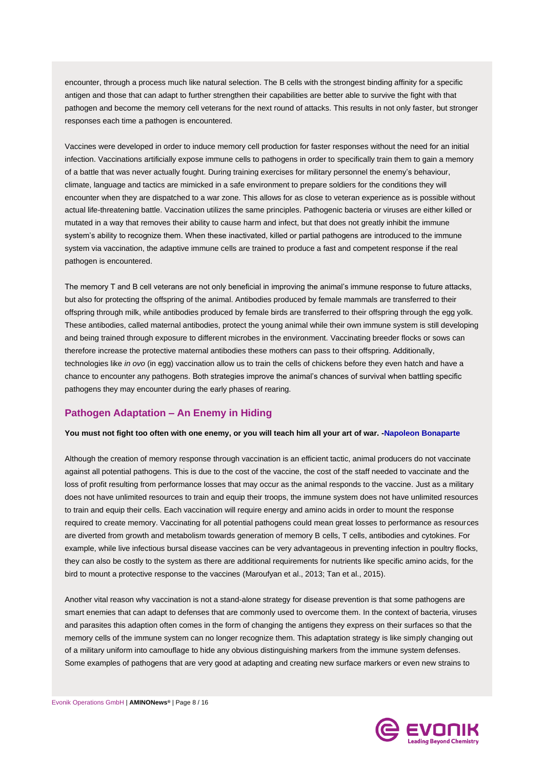encounter, through a process much like natural selection. The B cells with the strongest binding affinity for a specific antigen and those that can adapt to further strengthen their capabilities are better able to survive the fight with that pathogen and become the memory cell veterans for the next round of attacks. This results in not only faster, but stronger responses each time a pathogen is encountered.

Vaccines were developed in order to induce memory cell production for faster responses without the need for an initial infection. Vaccinations artificially expose immune cells to pathogens in order to specifically train them to gain a memory of a battle that was never actually fought. During training exercises for military personnel the enemy's behaviour, climate, language and tactics are mimicked in a safe environment to prepare soldiers for the conditions they will encounter when they are dispatched to a war zone. This allows for as close to veteran experience as is possible without actual life-threatening battle. Vaccination utilizes the same principles. Pathogenic bacteria or viruses are either killed or mutated in a way that removes their ability to cause harm and infect, but that does not greatly inhibit the immune system's ability to recognize them. When these inactivated, killed or partial pathogens are introduced to the immune system via vaccination, the adaptive immune cells are trained to produce a fast and competent response if the real pathogen is encountered.

The memory T and B cell veterans are not only beneficial in improving the animal's immune response to future attacks, but also for protecting the offspring of the animal. Antibodies produced by female mammals are transferred to their offspring through milk, while antibodies produced by female birds are transferred to their offspring through the egg yolk. These antibodies, called maternal antibodies, protect the young animal while their own immune system is still developing and being trained through exposure to different microbes in the environment. Vaccinating breeder flocks or sows can therefore increase the protective maternal antibodies these mothers can pass to their offspring. Additionally, technologies like *in ovo* (in egg) vaccination allow us to train the cells of chickens before they even hatch and have a chance to encounter any pathogens. Both strategies improve the animal's chances of survival when battling specific pathogens they may encounter during the early phases of rearing.

# **Pathogen Adaptation – An Enemy in Hiding**

#### **[You must not fight too often with one enemy, or you will teach him all your art of war.](http://www.brainyquote.com/quotes/quotes/n/napoleonbo124809.html?src=t_war) [-Napoleon Bonaparte](http://www.brainyquote.com/quotes/authors/n/napoleon_bonaparte.html)**

Although the creation of memory response through vaccination is an efficient tactic, animal producers do not vaccinate against all potential pathogens. This is due to the cost of the vaccine, the cost of the staff needed to vaccinate and the loss of profit resulting from performance losses that may occur as the animal responds to the vaccine. Just as a military does not have unlimited resources to train and equip their troops, the immune system does not have unlimited resources to train and equip their cells. Each vaccination will require energy and amino acids in order to mount the response required to create memory. Vaccinating for all potential pathogens could mean great losses to performance as resources are diverted from growth and metabolism towards generation of memory B cells, T cells, antibodies and cytokines. For example, while live infectious bursal disease vaccines can be very advantageous in preventing infection in poultry flocks, they can also be costly to the system as there are additional requirements for nutrients like specific amino acids, for the bird to mount a protective response to the vaccines [\(Maroufyan et al., 2013;](#page-13-9) [Tan et al., 2015\)](#page-15-2).

Another vital reason why vaccination is not a stand-alone strategy for disease prevention is that some pathogens are smart enemies that can adapt to defenses that are commonly used to overcome them. In the context of bacteria, viruses and parasites this adaption often comes in the form of changing the antigens they express on their surfaces so that the memory cells of the immune system can no longer recognize them. This adaptation strategy is like simply changing out of a military uniform into camouflage to hide any obvious distinguishing markers from the immune system defenses. Some examples of pathogens that are very good at adapting and creating new surface markers or even new strains to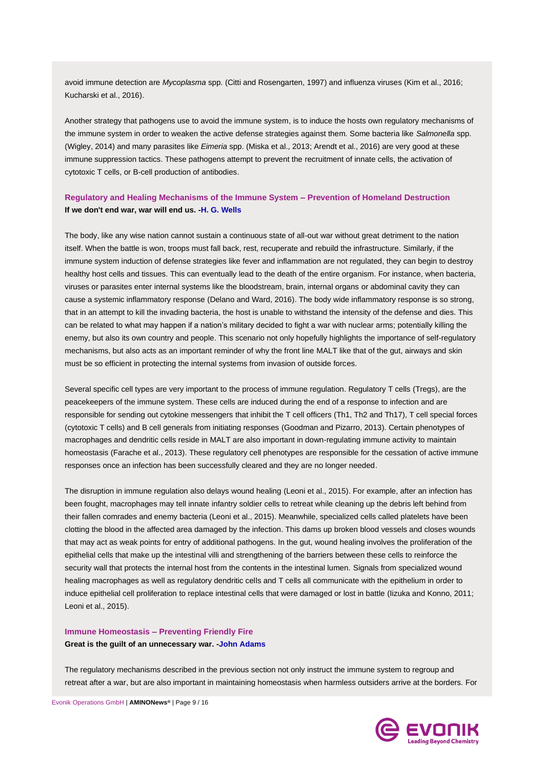avoid immune detection are *Mycoplasma* spp. [\(Citti and Rosengarten, 1997\)](#page-12-1) and influenza viruses [\(Kim et al., 2016;](#page-13-10) [Kucharski et al., 2016\)](#page-13-11).

Another strategy that pathogens use to avoid the immune system, is to induce the hosts own regulatory mechanisms of the immune system in order to weaken the active defense strategies against them. Some bacteria like *Salmonella* spp. [\(Wigley, 2014\)](#page-15-3) and many parasites like *Eimeria* spp. [\(Miska et al., 2013;](#page-14-4) [Arendt et al., 2016\)](#page-12-2) are very good at these immune suppression tactics. These pathogens attempt to prevent the recruitment of innate cells, the activation of cytotoxic T cells, or B-cell production of antibodies.

# **Regulatory and Healing Mechanisms of the Immune System – Prevention of Homeland Destruction [If we don't end war, war will end us.](http://www.brainyquote.com/quotes/quotes/h/hgwells161934.html?src=t_war) [-H. G. Wells](http://www.brainyquote.com/quotes/authors/h/h_g_wells.html)**

The body, like any wise nation cannot sustain a continuous state of all-out war without great detriment to the nation itself. When the battle is won, troops must fall back, rest, recuperate and rebuild the infrastructure. Similarly, if the immune system induction of defense strategies like fever and inflammation are not regulated, they can begin to destroy healthy host cells and tissues. This can eventually lead to the death of the entire organism. For instance, when bacteria, viruses or parasites enter internal systems like the bloodstream, brain, internal organs or abdominal cavity they can cause a systemic inflammatory response [\(Delano and Ward, 2016\)](#page-12-3). The body wide inflammatory response is so strong, that in an attempt to kill the invading bacteria, the host is unable to withstand the intensity of the defense and dies. This can be related to what may happen if a nation's military decided to fight a war with nuclear arms; potentially killing the enemy, but also its own country and people. This scenario not only hopefully highlights the importance of self-regulatory mechanisms, but also acts as an important reminder of why the front line MALT like that of the gut, airways and skin must be so efficient in protecting the internal systems from invasion of outside forces.

Several specific cell types are very important to the process of immune regulation. Regulatory T cells (Tregs), are the peacekeepers of the immune system. These cells are induced during the end of a response to infection and are responsible for sending out cytokine messengers that inhibit the T cell officers (Th1, Th2 and Th17), T cell special forces (cytotoxic T cells) and B cell generals from initiating responses [\(Goodman and Pizarro, 2013\)](#page-13-12). Certain phenotypes of macrophages and dendritic cells reside in MALT are also important in down-regulating immune activity to maintain homeostasis [\(Farache et al., 2013\)](#page-12-4). These regulatory cell phenotypes are responsible for the cessation of active immune responses once an infection has been successfully cleared and they are no longer needed.

The disruption in immune regulation also delays wound healing [\(Leoni et al., 2015\)](#page-13-13). For example, after an infection has been fought, macrophages may tell innate infantry soldier cells to retreat while cleaning up the debris left behind from their fallen comrades and enemy bacteria [\(Leoni et al., 2015\)](#page-13-13). Meanwhile, specialized cells called platelets have been clotting the blood in the affected area damaged by the infection. This dams up broken blood vessels and closes wounds that may act as weak points for entry of additional pathogens. In the gut, wound healing involves the proliferation of the epithelial cells that make up the intestinal villi and strengthening of the barriers between these cells to reinforce the security wall that protects the internal host from the contents in the intestinal lumen. Signals from specialized wound healing macrophages as well as regulatory dendritic cells and T cells all communicate with the epithelium in order to induce epithelial cell proliferation to replace intestinal cells that were damaged or lost in battle [\(Iizuka and Konno, 2011;](#page-13-14) [Leoni et al., 2015\)](#page-13-13).

# **Immune Homeostasis – Preventing Friendly Fire [Great is the guilt of an unnecessary war.](http://www.brainyquote.com/quotes/quotes/j/johnadams169378.html?src=t_war) [-John Adams](http://www.brainyquote.com/quotes/authors/j/john_adams.html)**

The regulatory mechanisms described in the previous section not only instruct the immune system to regroup and retreat after a war, but are also important in maintaining homeostasis when harmless outsiders arrive at the borders. For

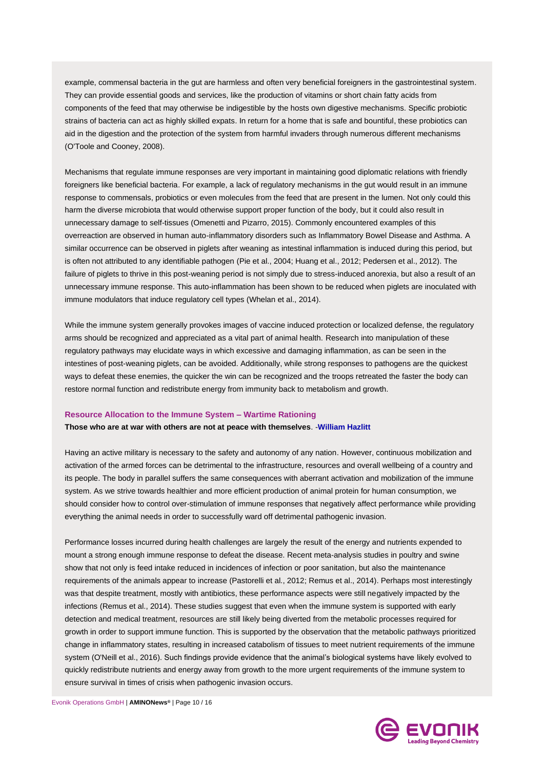example, commensal bacteria in the gut are harmless and often very beneficial foreigners in the gastrointestinal system. They can provide essential goods and services, like the production of vitamins or short chain fatty acids from components of the feed that may otherwise be indigestible by the hosts own digestive mechanisms. Specific probiotic strains of bacteria can act as highly skilled expats. In return for a home that is safe and bountiful, these probiotics can aid in the digestion and the protection of the system from harmful invaders through numerous different mechanisms [\(O'Toole and Cooney, 2008\)](#page-14-5).

Mechanisms that regulate immune responses are very important in maintaining good diplomatic relations with friendly foreigners like beneficial bacteria. For example, a lack of regulatory mechanisms in the gut would result in an immune response to commensals, probiotics or even molecules from the feed that are present in the lumen. Not only could this harm the diverse microbiota that would otherwise support proper function of the body, but it could also result in unnecessary damage to self-tissues [\(Omenetti and Pizarro, 2015\)](#page-14-6). Commonly encountered examples of this overreaction are observed in human auto-inflammatory disorders such as Inflammatory Bowel Disease and Asthma. A similar occurrence can be observed in piglets after weaning as intestinal inflammation is induced during this period, but is often not attributed to any identifiable pathogen [\(Pie et al., 2004;](#page-14-7) [Huang et al., 2012;](#page-13-15) [Pedersen et al., 2012\)](#page-14-8). The failure of piglets to thrive in this post-weaning period is not simply due to stress-induced anorexia, but also a result of an unnecessary immune response. This auto-inflammation has been shown to be reduced when piglets are inoculated with immune modulators that induce regulatory cell types [\(Whelan et al., 2014\)](#page-15-4).

While the immune system generally provokes images of vaccine induced protection or localized defense, the regulatory arms should be recognized and appreciated as a vital part of animal health. Research into manipulation of these regulatory pathways may elucidate ways in which excessive and damaging inflammation, as can be seen in the intestines of post-weaning piglets, can be avoided. Additionally, while strong responses to pathogens are the quickest ways to defeat these enemies, the quicker the win can be recognized and the troops retreated the faster the body can restore normal function and redistribute energy from immunity back to metabolism and growth.

#### **Resource Allocation to the Immune System – Wartime Rationing**

#### **Those who are at war with others are not at peace with themselves**. -**[William Hazlitt](http://www.brainyquote.com/quotes/authors/j/john_adams.html)**

Having an active military is necessary to the safety and autonomy of any nation. However, continuous mobilization and activation of the armed forces can be detrimental to the infrastructure, resources and overall wellbeing of a country and its people. The body in parallel suffers the same consequences with aberrant activation and mobilization of the immune system. As we strive towards healthier and more efficient production of animal protein for human consumption, we should consider how to control over-stimulation of immune responses that negatively affect performance while providing everything the animal needs in order to successfully ward off detrimental pathogenic invasion.

Performance losses incurred during health challenges are largely the result of the energy and nutrients expended to mount a strong enough immune response to defeat the disease. Recent meta-analysis studies in poultry and swine show that not only is feed intake reduced in incidences of infection or poor sanitation, but also the maintenance requirements of the animals appear to increase [\(Pastorelli et al., 2012;](#page-14-9) [Remus et al., 2014\)](#page-14-10). Perhaps most interestingly was that despite treatment, mostly with antibiotics, these performance aspects were still negatively impacted by the infections [\(Remus et al., 2014\)](#page-14-10). These studies suggest that even when the immune system is supported with early detection and medical treatment, resources are still likely being diverted from the metabolic processes required for growth in order to support immune function. This is supported by the observation that the metabolic pathways prioritized change in inflammatory states, resulting in increased catabolism of tissues to meet nutrient requirements of the immune system [\(O'Neill et al., 2016\)](#page-14-11). Such findings provide evidence that the animal's biological systems have likely evolved to quickly redistribute nutrients and energy away from growth to the more urgent requirements of the immune system to ensure survival in times of crisis when pathogenic invasion occurs.

Evonik Operations GmbH | **AMINONews®** | Page 10 / 16

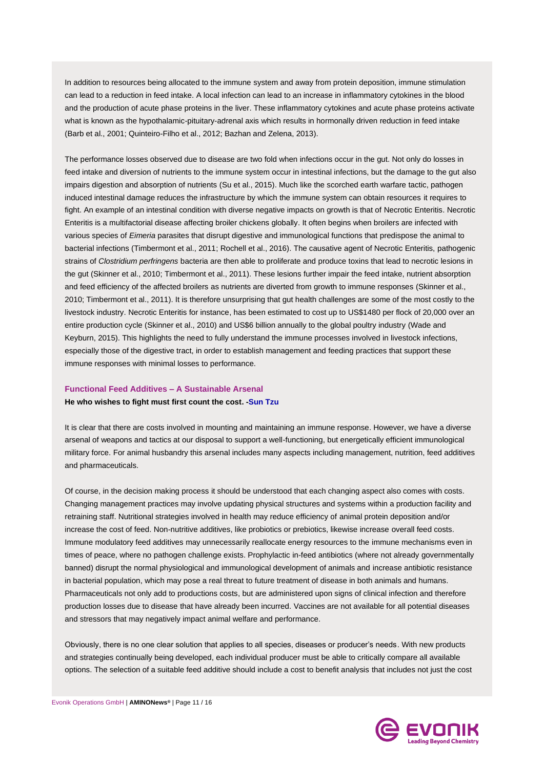In addition to resources being allocated to the immune system and away from protein deposition, immune stimulation can lead to a reduction in feed intake. A local infection can lead to an increase in inflammatory cytokines in the blood and the production of acute phase proteins in the liver. These inflammatory cytokines and acute phase proteins activate what is known as the hypothalamic-pituitary-adrenal axis which results in hormonally driven reduction in feed intake [\(Barb et al., 2001;](#page-12-5) [Quinteiro-Filho et al., 2012;](#page-14-12) [Bazhan and Zelena, 2013\)](#page-12-6).

The performance losses observed due to disease are two fold when infections occur in the gut. Not only do losses in feed intake and diversion of nutrients to the immune system occur in intestinal infections, but the damage to the gut also impairs digestion and absorption of nutrients [\(Su et al., 2015\)](#page-15-5). Much like the scorched earth warfare tactic, pathogen induced intestinal damage reduces the infrastructure by which the immune system can obtain resources it requires to fight. An example of an intestinal condition with diverse negative impacts on growth is that of Necrotic Enteritis. Necrotic Enteritis is a multifactorial disease affecting broiler chickens globally. It often begins when broilers are infected with various species of *Eimeria* parasites that disrupt digestive and immunological functions that predispose the animal to bacterial infections [\(Timbermont et al., 2011;](#page-15-6) [Rochell et al., 2016\)](#page-14-13). The causative agent of Necrotic Enteritis, pathogenic strains of *Clostridium perfringens* bacteria are then able to proliferate and produce toxins that lead to necrotic lesions in the gut [\(Skinner et al., 2010;](#page-15-7) [Timbermont et al., 2011\)](#page-15-6). These lesions further impair the feed intake, nutrient absorption and feed efficiency of the affected broilers as nutrients are diverted from growth to immune responses [\(Skinner et al.,](#page-15-7)  [2010;](#page-15-7) [Timbermont et al., 2011\)](#page-15-6). It is therefore unsurprising that gut health challenges are some of the most costly to the livestock industry. Necrotic Enteritis for instance, has been estimated to cost up to US\$1480 per flock of 20,000 over an entire production cycle [\(Skinner et al., 2010\)](#page-15-7) and US\$6 billion annually to the global poultry industry (Wade and Keyburn, 2015). This highlights the need to fully understand the immune processes involved in livestock infections, especially those of the digestive tract, in order to establish management and feeding practices that support these immune responses with minimal losses to performance.

#### **Functional Feed Additives – A Sustainable Arsenal**

#### **He who wishes to fight must first count the cost. [-Sun Tzu](http://www.brainyquote.com/quotes/authors/j/john_adams.html)**

It is clear that there are costs involved in mounting and maintaining an immune response. However, we have a diverse arsenal of weapons and tactics at our disposal to support a well-functioning, but energetically efficient immunological military force. For animal husbandry this arsenal includes many aspects including management, nutrition, feed additives and pharmaceuticals.

Of course, in the decision making process it should be understood that each changing aspect also comes with costs. Changing management practices may involve updating physical structures and systems within a production facility and retraining staff. Nutritional strategies involved in health may reduce efficiency of animal protein deposition and/or increase the cost of feed. Non-nutritive additives, like probiotics or prebiotics, likewise increase overall feed costs. Immune modulatory feed additives may unnecessarily reallocate energy resources to the immune mechanisms even in times of peace, where no pathogen challenge exists. Prophylactic in-feed antibiotics (where not already governmentally banned) disrupt the normal physiological and immunological development of animals and increase antibiotic resistance in bacterial population, which may pose a real threat to future treatment of disease in both animals and humans. Pharmaceuticals not only add to productions costs, but are administered upon signs of clinical infection and therefore production losses due to disease that have already been incurred. Vaccines are not available for all potential diseases and stressors that may negatively impact animal welfare and performance.

Obviously, there is no one clear solution that applies to all species, diseases or producer's needs. With new products and strategies continually being developed, each individual producer must be able to critically compare all available options. The selection of a suitable feed additive should include a cost to benefit analysis that includes not just the cost

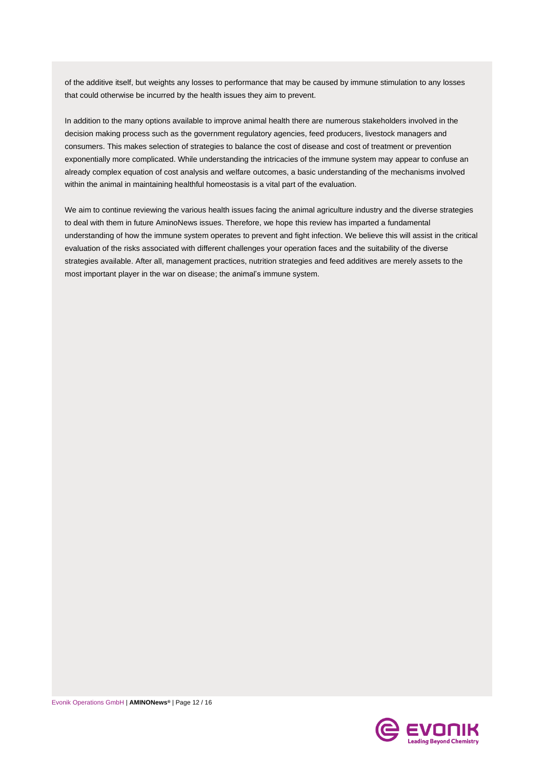of the additive itself, but weights any losses to performance that may be caused by immune stimulation to any losses that could otherwise be incurred by the health issues they aim to prevent.

In addition to the many options available to improve animal health there are numerous stakeholders involved in the decision making process such as the government regulatory agencies, feed producers, livestock managers and consumers. This makes selection of strategies to balance the cost of disease and cost of treatment or prevention exponentially more complicated. While understanding the intricacies of the immune system may appear to confuse an already complex equation of cost analysis and welfare outcomes, a basic understanding of the mechanisms involved within the animal in maintaining healthful homeostasis is a vital part of the evaluation.

We aim to continue reviewing the various health issues facing the animal agriculture industry and the diverse strategies to deal with them in future AminoNews issues. Therefore, we hope this review has imparted a fundamental understanding of how the immune system operates to prevent and fight infection. We believe this will assist in the critical evaluation of the risks associated with different challenges your operation faces and the suitability of the diverse strategies available. After all, management practices, nutrition strategies and feed additives are merely assets to the most important player in the war on disease; the animal's immune system.

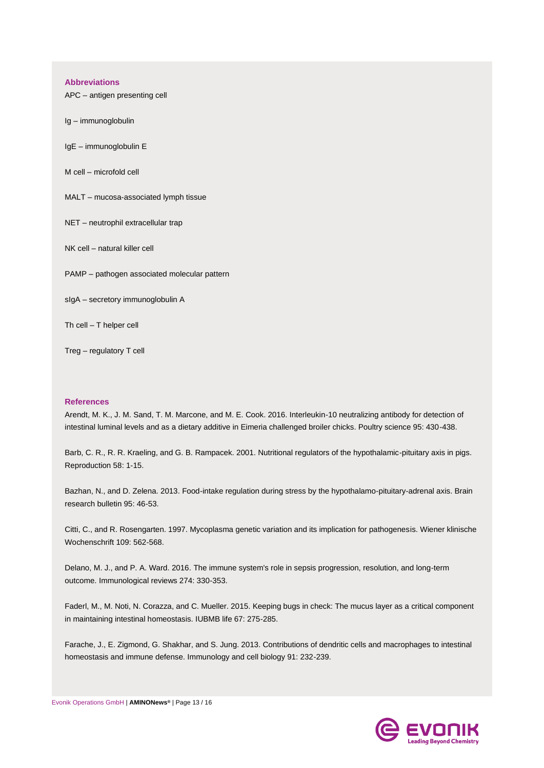#### **Abbreviations**

APC – antigen presenting cell

Ig – immunoglobulin

IgE – immunoglobulin E

M cell – microfold cell

MALT – mucosa-associated lymph tissue

NET – neutrophil extracellular trap

NK cell – natural killer cell

PAMP – pathogen associated molecular pattern

sIgA – secretory immunoglobulin A

Th cell – T helper cell

Treg – regulatory T cell

#### **References**

<span id="page-12-2"></span>Arendt, M. K., J. M. Sand, T. M. Marcone, and M. E. Cook. 2016. Interleukin-10 neutralizing antibody for detection of intestinal luminal levels and as a dietary additive in Eimeria challenged broiler chicks. Poultry science 95: 430-438.

<span id="page-12-5"></span>Barb, C. R., R. R. Kraeling, and G. B. Rampacek. 2001. Nutritional regulators of the hypothalamic-pituitary axis in pigs. Reproduction 58: 1-15.

<span id="page-12-6"></span>Bazhan, N., and D. Zelena. 2013. Food-intake regulation during stress by the hypothalamo-pituitary-adrenal axis. Brain research bulletin 95: 46-53.

<span id="page-12-1"></span>Citti, C., and R. Rosengarten. 1997. Mycoplasma genetic variation and its implication for pathogenesis. Wiener klinische Wochenschrift 109: 562-568.

<span id="page-12-3"></span>Delano, M. J., and P. A. Ward. 2016. The immune system's role in sepsis progression, resolution, and long-term outcome. Immunological reviews 274: 330-353.

<span id="page-12-0"></span>Faderl, M., M. Noti, N. Corazza, and C. Mueller. 2015. Keeping bugs in check: The mucus layer as a critical component in maintaining intestinal homeostasis. IUBMB life 67: 275-285.

<span id="page-12-4"></span>Farache, J., E. Zigmond, G. Shakhar, and S. Jung. 2013. Contributions of dendritic cells and macrophages to intestinal homeostasis and immune defense. Immunology and cell biology 91: 232-239.

Evonik Operations GmbH | **AMINONews®** | Page 13 / 16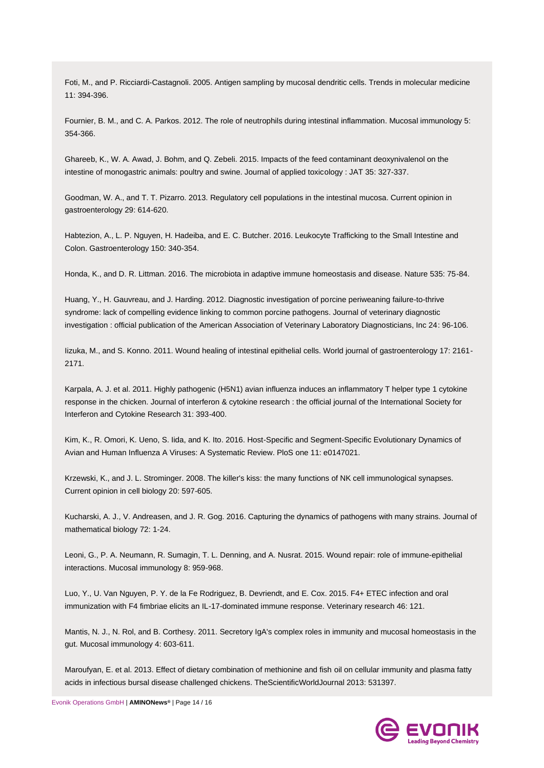<span id="page-13-3"></span>Foti, M., and P. Ricciardi-Castagnoli. 2005. Antigen sampling by mucosal dendritic cells. Trends in molecular medicine 11: 394-396.

<span id="page-13-4"></span>Fournier, B. M., and C. A. Parkos. 2012. The role of neutrophils during intestinal inflammation. Mucosal immunology 5: 354-366.

<span id="page-13-0"></span>Ghareeb, K., W. A. Awad, J. Bohm, and Q. Zebeli. 2015. Impacts of the feed contaminant deoxynivalenol on the intestine of monogastric animals: poultry and swine. Journal of applied toxicology : JAT 35: 327-337.

<span id="page-13-12"></span>Goodman, W. A., and T. T. Pizarro. 2013. Regulatory cell populations in the intestinal mucosa. Current opinion in gastroenterology 29: 614-620.

<span id="page-13-2"></span>Habtezion, A., L. P. Nguyen, H. Hadeiba, and E. C. Butcher. 2016. Leukocyte Trafficking to the Small Intestine and Colon. Gastroenterology 150: 340-354.

<span id="page-13-6"></span>Honda, K., and D. R. Littman. 2016. The microbiota in adaptive immune homeostasis and disease. Nature 535: 75-84.

<span id="page-13-15"></span>Huang, Y., H. Gauvreau, and J. Harding. 2012. Diagnostic investigation of porcine periweaning failure-to-thrive syndrome: lack of compelling evidence linking to common porcine pathogens. Journal of veterinary diagnostic investigation : official publication of the American Association of Veterinary Laboratory Diagnosticians, Inc 24: 96-106.

<span id="page-13-14"></span>Iizuka, M., and S. Konno. 2011. Wound healing of intestinal epithelial cells. World journal of gastroenterology 17: 2161- 2171.

<span id="page-13-7"></span>Karpala, A. J. et al. 2011. Highly pathogenic (H5N1) avian influenza induces an inflammatory T helper type 1 cytokine response in the chicken. Journal of interferon & cytokine research : the official journal of the International Society for Interferon and Cytokine Research 31: 393-400.

<span id="page-13-10"></span>Kim, K., R. Omori, K. Ueno, S. Iida, and K. Ito. 2016. Host-Specific and Segment-Specific Evolutionary Dynamics of Avian and Human Influenza A Viruses: A Systematic Review. PloS one 11: e0147021.

<span id="page-13-5"></span>Krzewski, K., and J. L. Strominger. 2008. The killer's kiss: the many functions of NK cell immunological synapses. Current opinion in cell biology 20: 597-605.

<span id="page-13-11"></span>Kucharski, A. J., V. Andreasen, and J. R. Gog. 2016. Capturing the dynamics of pathogens with many strains. Journal of mathematical biology 72: 1-24.

<span id="page-13-13"></span>Leoni, G., P. A. Neumann, R. Sumagin, T. L. Denning, and A. Nusrat. 2015. Wound repair: role of immune-epithelial interactions. Mucosal immunology 8: 959-968.

<span id="page-13-8"></span>Luo, Y., U. Van Nguyen, P. Y. de la Fe Rodriguez, B. Devriendt, and E. Cox. 2015. F4+ ETEC infection and oral immunization with F4 fimbriae elicits an IL-17-dominated immune response. Veterinary research 46: 121.

<span id="page-13-1"></span>Mantis, N. J., N. Rol, and B. Corthesy. 2011. Secretory IgA's complex roles in immunity and mucosal homeostasis in the gut. Mucosal immunology 4: 603-611.

<span id="page-13-9"></span>Maroufyan, E. et al. 2013. Effect of dietary combination of methionine and fish oil on cellular immunity and plasma fatty acids in infectious bursal disease challenged chickens. TheScientificWorldJournal 2013: 531397.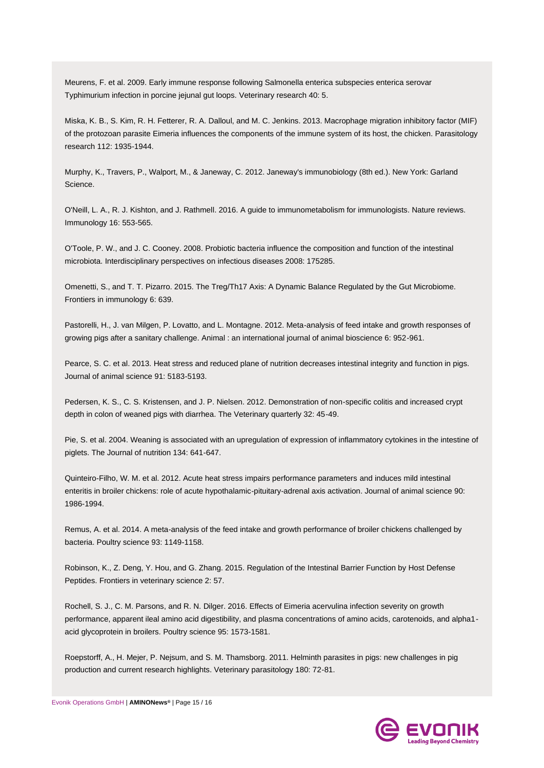<span id="page-14-2"></span>Meurens, F. et al. 2009. Early immune response following Salmonella enterica subspecies enterica serovar Typhimurium infection in porcine jejunal gut loops. Veterinary research 40: 5.

<span id="page-14-4"></span>Miska, K. B., S. Kim, R. H. Fetterer, R. A. Dalloul, and M. C. Jenkins. 2013. Macrophage migration inhibitory factor (MIF) of the protozoan parasite Eimeria influences the components of the immune system of its host, the chicken. Parasitology research 112: 1935-1944.

Murphy, K., Travers, P., Walport, M., & Janeway, C. 2012. Janeway's immunobiology (8th ed.). New York: Garland Science.

<span id="page-14-11"></span>O'Neill, L. A., R. J. Kishton, and J. Rathmell. 2016. A guide to immunometabolism for immunologists. Nature reviews. Immunology 16: 553-565.

<span id="page-14-5"></span>O'Toole, P. W., and J. C. Cooney. 2008. Probiotic bacteria influence the composition and function of the intestinal microbiota. Interdisciplinary perspectives on infectious diseases 2008: 175285.

<span id="page-14-6"></span>Omenetti, S., and T. T. Pizarro. 2015. The Treg/Th17 Axis: A Dynamic Balance Regulated by the Gut Microbiome. Frontiers in immunology 6: 639.

<span id="page-14-9"></span>Pastorelli, H., J. van Milgen, P. Lovatto, and L. Montagne. 2012. Meta-analysis of feed intake and growth responses of growing pigs after a sanitary challenge. Animal : an international journal of animal bioscience 6: 952-961.

<span id="page-14-0"></span>Pearce, S. C. et al. 2013. Heat stress and reduced plane of nutrition decreases intestinal integrity and function in pigs. Journal of animal science 91: 5183-5193.

<span id="page-14-8"></span>Pedersen, K. S., C. S. Kristensen, and J. P. Nielsen. 2012. Demonstration of non-specific colitis and increased crypt depth in colon of weaned pigs with diarrhea. The Veterinary quarterly 32: 45-49.

<span id="page-14-7"></span>Pie, S. et al. 2004. Weaning is associated with an upregulation of expression of inflammatory cytokines in the intestine of piglets. The Journal of nutrition 134: 641-647.

<span id="page-14-12"></span>Quinteiro-Filho, W. M. et al. 2012. Acute heat stress impairs performance parameters and induces mild intestinal enteritis in broiler chickens: role of acute hypothalamic-pituitary-adrenal axis activation. Journal of animal science 90: 1986-1994.

<span id="page-14-10"></span>Remus, A. et al. 2014. A meta-analysis of the feed intake and growth performance of broiler chickens challenged by bacteria. Poultry science 93: 1149-1158.

<span id="page-14-1"></span>Robinson, K., Z. Deng, Y. Hou, and G. Zhang. 2015. Regulation of the Intestinal Barrier Function by Host Defense Peptides. Frontiers in veterinary science 2: 57.

<span id="page-14-13"></span>Rochell, S. J., C. M. Parsons, and R. N. Dilger. 2016. Effects of Eimeria acervulina infection severity on growth performance, apparent ileal amino acid digestibility, and plasma concentrations of amino acids, carotenoids, and alpha1 acid glycoprotein in broilers. Poultry science 95: 1573-1581.

<span id="page-14-3"></span>Roepstorff, A., H. Mejer, P. Nejsum, and S. M. Thamsborg. 2011. Helminth parasites in pigs: new challenges in pig production and current research highlights. Veterinary parasitology 180: 72-81.